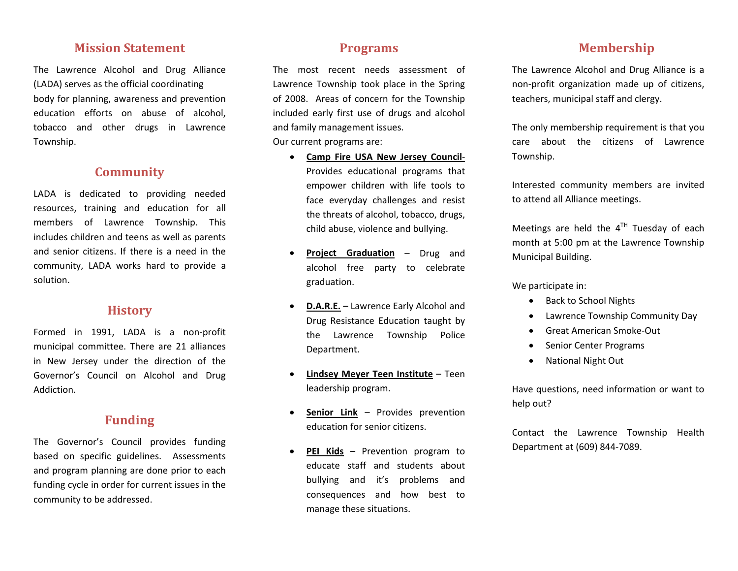#### **Mission Statement**

The Lawrence Alcohol and Drug Alliance (LADA) serves as the official coordinating body for planning, awareness and prevention education efforts on abuse of alcohol, tobacco and other drugs in Lawrence Township.

## **Community**

LADA is dedicated to providing needed resources, training and education for all members of Lawrence Township. This includes children and teens as well as parents and senior citizens. If there is <sup>a</sup> need in the community, LADA works hard to provide <sup>a</sup> solution.

## **History**

Formed in 1991, LADA is <sup>a</sup> non‐profit municipal committee. There are 21 alliances in New Jersey under the direction of the Governor's Council on Alcohol and Drug Addiction.

### **Funding**

The Governor's Council provides funding based on specific guidelines. Assessments and program planning are done prior to each funding cycle in order for current issues in the community to be addressed.

### **Programs**

The most recent needs assessment of Lawrence Township took place in the Spring of 2008. Areas of concern for the Township included early first use of drugs and alcohol and family management issues. Our current programs are:

- **Camp Fire USA New Jersey Council**‐ Provides educational programs that empower children with life tools to face everyday challenges and resist the threats of alcohol, tobacco, drugs, child abuse, violence and bullying.
- • **Project Graduation** – Drug and alcohol free party to celebrate graduation.
- • **D.A.R.E.** – Lawrence Early Alcohol and Drug Resistance Education taught by the Lawrence Township Police Department.
- • **Lindsey Meyer Teen Institute** – Teenleadership program.
- • **Senior Link** – Provides prevention education for senior citizens.
- • **PEI Kids** – Prevention program to educate staff and students about bullying and it's problems and consequences and how best to manage these situations.

## **Membership**

The Lawrence Alcohol and Drug Alliance is <sup>a</sup> non‐profit organization made up of citizens, teachers, municipal staff and clergy.

The only membership requirement is that you care about the citizens of Lawrence Township.

Interested community members are invited to attend all Alliance meetings.

Meetings are held the  $4^{\text{TH}}$  Tuesday of each month at 5:00 pm at the Lawrence Township Municipal Building.

We participate in:

- Back to School Nights
- •Lawrence Township Community Day
- •● Great American Smoke-Out
- •Senior Center Programs
- •National Night Out

Have questions, need information or want to help out?

Contact the Lawrence Township Health Department at (609) 844‐7089.